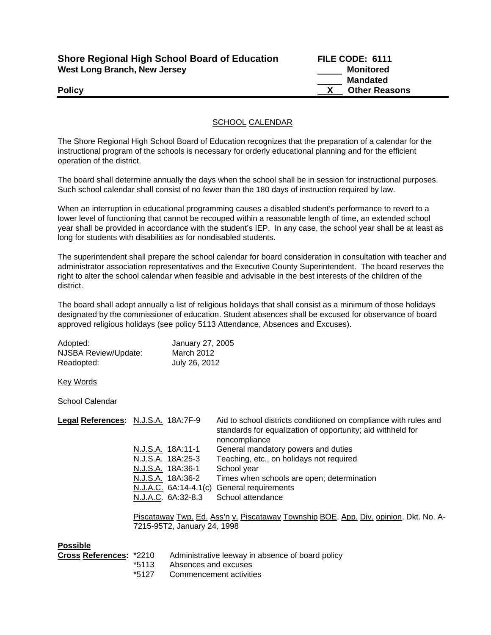| <b>Shore Regional High School Board of Education</b> |
|------------------------------------------------------|
| West Long Branch, New Jersey                         |

**FILE CODE: 6111 Monitored Mandated Policy X Other Reasons** 

## SCHOOL CALENDAR

The Shore Regional High School Board of Education recognizes that the preparation of a calendar for the instructional program of the schools is necessary for orderly educational planning and for the efficient operation of the district.

The board shall determine annually the days when the school shall be in session for instructional purposes. Such school calendar shall consist of no fewer than the 180 days of instruction required by law.

When an interruption in educational programming causes a disabled student's performance to revert to a lower level of functioning that cannot be recouped within a reasonable length of time, an extended school year shall be provided in accordance with the student's IEP. In any case, the school year shall be at least as long for students with disabilities as for nondisabled students.

The superintendent shall prepare the school calendar for board consideration in consultation with teacher and administrator association representatives and the Executive County Superintendent. The board reserves the right to alter the school calendar when feasible and advisable in the best interests of the children of the district.

The board shall adopt annually a list of religious holidays that shall consist as a minimum of those holidays designated by the commissioner of education. Student absences shall be excused for observance of board approved religious holidays (see policy 5113 Attendance, Absences and Excuses).

| Adopted:             | January 27, 2005 |
|----------------------|------------------|
| NJSBA Review/Update: | March 2012       |
| Readopted:           | July 26, 2012    |

Key Words

School Calendar

| Legal References: N.J.S.A. 18A:7F-9 |                         | Aid to school districts conditioned on compliance with rules and<br>standards for equalization of opportunity; aid withheld for<br>noncompliance |
|-------------------------------------|-------------------------|--------------------------------------------------------------------------------------------------------------------------------------------------|
|                                     | N.J.S.A. 18A:11-1       | General mandatory powers and duties                                                                                                              |
|                                     | N.J.S.A. 18A:25-3       | Teaching, etc., on holidays not required                                                                                                         |
|                                     | N.J.S.A. 18A:36-1       | School year                                                                                                                                      |
|                                     | N.J.S.A. 18A:36-2       | Times when schools are open; determination                                                                                                       |
|                                     | $N.J.A.C. 6A:14-4.1(c)$ | General requirements                                                                                                                             |
|                                     | N.J.A.C. 6A:32-8.3      | School attendance                                                                                                                                |
|                                     |                         | Discotourar Turn, Ed. Acc'n y Discotourar Tournabin POE, Ann. Div. opinion, Dlet No. A.                                                          |

<u>Piscataway Twp. Ed. Ass´n v. Piscataway Township BOE, App. Div. opinion,</u> Dkt. No. A-7215-95T2, January 24, 1998

**Possible** 

| Cross References: *2210 |       | Administrative leeway in absence of board policy |
|-------------------------|-------|--------------------------------------------------|
|                         | *5113 | Absences and excuses                             |
|                         | *5127 | Commencement activities                          |